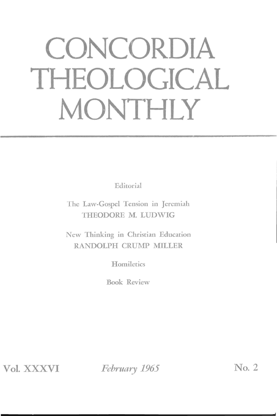# **CONCORDIA THEOLOGICAL MONTHLY**

Editorial

The Law-Gospel Tension in Jeremiah THEODORE M. LUDWIG

New Thinking in Christian Education RANDOLPH CRUMP MILLER

**Homiletics** 

Book Review

**Vol.** XXXVI

*February 1965* No. 2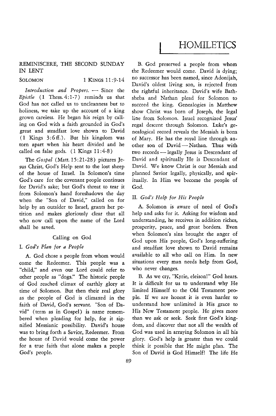# REMINISCERE, THE SECOND SUNDAY IN LENT

# SOLOMON 1 KINGS 11:9-14

*Introduction and Propers.* - Since the *Epistle* (1 Thess. 4: 1-7 ) reminds us that God has not called us to uncleanness but to holiness, we take up the account of a king grown careless. He began his reign by calling on God with a faith grounded in God's great and steadfast love shown to David  $(1 \text{ Kings } 3:6 \text{ ft.})$ . But his kingdom was torn apart when his heart divided and he called on false gods.  $(1$  Kings  $11:4-8)$ 

The *Gospel* (Matt. 15:21-28) pictures Jesus Christ, God's Help sent to the lost sheep of the house of Israel. In Solomon's time God's care for the covenant people continues for David's sake; but God's threat to tear it from Solomon's hand foreshadows the day when the "Son of David," called on for help by an outsider to Israel, grants her petition and makes gloriously clear that all who now call upon the name of the Lord shall be saved.

# Calling on God

# I. *God's Plan for a People*

A. God chose a people from whom would come the Redeemer. This people was a "child," and even our Lord could refer to other people as "dogs." The historic people of God reached climax of earthly glory at time of Solomon. But then their real glory as the people of God is climaxed in the faith of David, God's servant. "Son of David" (term as in Gospel) is name remembered when pleading for help, for it signified Messianic possibility. David's house was to bring forth a Savior, Redeemer. From the house of David would come the power for a true faith that alone makes a people God's people.

B. God preserved a people from whom the Redeemer would come. David is dying; no successor has been named, since Adonijah, David's oldest living son, is rejected from the rightful inheritance. David's wife Bathsheba and Nathan plead for Solomon to succeed the king. Genealogies in Matthew show Christ was born of Joseph, the legal line from Solomon. Israel recognized Jesus' regal descent through Solomon. Luke's genealogical record reveals the Messiah is born of Mary. He has the royal line through another son of David - Nathan. Thus with two records - legally Jesus is Descendant of David and spiritually He is Descendant of David. We know Christ is our Messiah and planned Savior legally, physically, and spiritually. In Him we become the people of God.

# II. *God's Help for His People*

A. Solomon is aware of need of God's help and asks for it. Asking for wisdom and understanding, he receives in addition riches, prosperity, peace, and great borders. Even when Solomon's sins brought the anger of God upon His people, God's long-suffering and steadfast love shown to David remains available to all who call on Him. In new situations every man needs help from God, who never changes.

B. As we cry, "Kyrie, eleison!" God hears. It is difficult for us to understand why He limited Himself to the Old Testament people. If we are honest it is even harder to understand how unlimited is His grace to His New Testament people. He gives more than we ask or seek. Seek first God's kingdom, and discover that not all the wealth of God was used in arraying Solomon in all his glory. God's help is greater than we could think it possible that He might plan. The Son of David is God Himself! The life He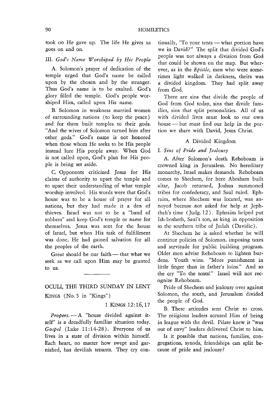took on He gave up. The life He gives us goes on and on.

# III. *God's Name Worshiped by His People*

A. Solomon's prayer of dedication of the temple urged that God's name be called upon by the chosen and by the stranger. Thus God's name is to be exalted. God's glory filled the temple. God's people worshiped Him, called upon His name.

B. Solomon in weakness married women of surrounding nations (to keep the peace) and for them built temples to their gods. "And the wives of Solomon turned him after other gods." God's name is not honored when those whom He seeks to be His people instead lure His people away. When God is not called upon, God's plan for His people is being set aside.

C. Opponents criticized Jesus for His claims of authority to upset the temple and to upset their understanding of what temple worship involved. His words were that God's house was to be a house of prayer for all nations, but they had made it a den of thieves. Israel was not to be a "band of robbers" and keep God's temple or name for themselves. Jesus was sent for the house of Israel, but when His task of fulfillment was done, He had gained salvation for all the peoples of the earth.

Great should be our faith - that what we seek as we call upon Him may be granted to us.

# OCULI, THE THIRD SUNDAY IN LENT

KINGS (No.5 in "Kings")

1 KINGS 12: 16,17

Propers. - A "house divided against itself" is a dreadfully familiar situation today, *Gospel* (Luke 11:14-28). Everyone of us lives in a state of division within himself. Each heart, no matter how swept and garnished, has devilish tenants. They cry continually, "To your tents - what portion have we in David?" The split that divided God's people was not always a division from God that could be shown on the map. But wherever, as in the *Epistle,* men who were sometimes light walked in darkness, theirs was a divided kingdom. They had split away from God.

There are sins that divide the people of God from God today, sins that divide families, sins that split personalities. All of us with divided lives must look to our own house - but must find our help in the portion we share with David, Jesus Christ.

### A Divided Kingdom

# I. *Sim of Pride and Jealousy*

A. After Solomon's death Rehoboam is crowned king in Jerusalem. No hereditary monarchy, Israel makes demands. Rehoboam comes to Shechem, for here Abraham built altar, Jacob returned, Joshua summoned tribes for confederacy, and Saul ruled. Ephraim, where Shechem was located, was annoyed because not asked for help at Jephthah's time (Judg.12). Ephraim helped put Ish-bosheth, Saul's son, as king in opposition to the southern tribe of Judah (Davidic).

At Shechem he is asked whether he will continue policies of Solomon, imposing taxes and servitude for public building program. Older men advise Rehoboam to lighten burdens. Youth wins. "More punishment in little finger than in father's loins." And so the cry "To the tents!" Israel will not recognize Rehoboam.

Pride of Shechem and jealousy over against Solomon, the south, and Jerusalem divided the people of God.

B. These attitudes sent Christ to cross. The religious leaders accused Him of being in league with the devil. Pilate knew it "was out of envy" leaders delivered Christ to him.

Is it possible that nations, families, congregations, synods, friendships can split because of pride and jealousy?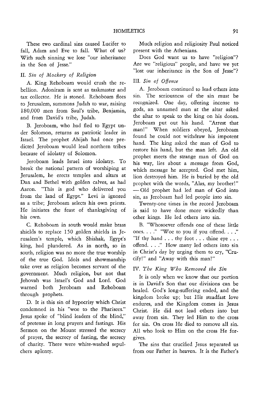These two cardinal sins caused Lucifer to fall, Adam and Eve to fall. What of us? With such sinning we lose "our inheritance in the Son of Jesse."

# II. *Sin* of *Mockery* of *Religion*

A. King Rehoboam would crush the rebellion. Adoniram is sent as taskmaster and tax collector. He is stoned. Rehoboam flees to Jerusalem, summons Judah to war, raising 180,000 men from Saul's tribe, Benjamin, and from David's tribe, Judah.

B. Jeroboam, who had fled to Egypt under Solomon, returns as patriotic leader in Israel. The prophet Ahijah had once predicted Jeroboam would lead northern tribes because of idolatry of Solomon.

Jeroboam leads Israel into idolatry. To break the national pattern of worshiping at Jerusalem, he erects temples and altars at Dan and Bethel with golden calves, as had Aaron. "This is god who delivered you from the land of Egypt." Levi is ignored as a tribe; Jeroboam selects his own priests. He initiates the feast of thanksgiving of his own.

C. Rehoboam in south would make brass shields to replace 150 golden shields in Jerusalem's temple, which Shishak, *Egypt's*  king, had plundered. As in north, so in south, religion was no more the true worship of the true God. Idols and showmanship take over as religion becomes servant of the government. Much religion, but not that Jehovah was Israel's God and Lord. God warned both Jeroboam and Rehoboam through prophets.

D. It is this sin of hypocrisy which Christ condemned in his "woe to the Pharisees." Jesus spoke of "blind leaders of the blind," of pretense in long prayers and fastings. His Sermon on the Mount stressed the secrecy of prayer, the secrecy of fasting, the secrecy of charity. There were white-washed sepulchers aplenty.

Much religion and religiosity Paul noticed present with the Athenians.

Does God want us to have "religion"? Are we "religious" people, and have we yet "lost our inheritance in the Son of Jesse"?

# III. *Sin* of *Offense*

A. Jeroboam continued to lead others into sin. The seriousness of the sin must be recognized. One day, offering incense to gods, an unnamed man at the altar asked the altar to speak to the king on his doom. Jeroboam put out his hand. "Arrest that man!" When soldiers obeyed, Jeroboam found he could not withdraw his impotent hand. The king asked the man of God to restore his hand, but the man left. An old prophet meets the strange man of God on his way, lies about a message from God, which message he accepted. God met him, lion destroyed him. He is buried by the old propbet with the words, "Alas, my brother!" -- Old prophet had led man of God into sin, as Jeroboam had led people into sin.

Twenty-one times in the record Jeroboam is said to have done more wickedly than other kings. He led others into sin.

E. "Whosoever offends one of these little ones...." "Woe to you if you offend...." "If thy hand  $\ldots$  thy foot  $\ldots$  thine eye  $\ldots$ offend. . .. " How many led others into sin in Christ's day by urging them to cry, "Crucify!" and "Away with this man!"

# IV. *The King Who Removed the Sin*

It is only when we know that our portion is in David's Son that our divisions can be healed. God's long-suffering ended, and the kingdom broke up; but His steadfast love endures, and the Kingdom comes in Jesus Christ. He did not lead others into but away from sin. They led Him to the cross for sin. On cross He died to remove all sin. All who look to Him on the cross He forgives.

The sins that crucified Jesus separated us from our Father in heaven. It *is* the Father's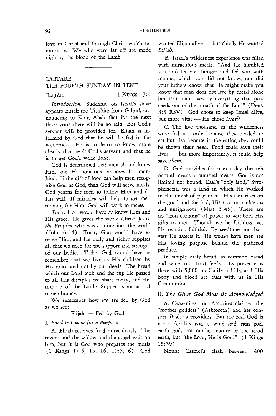love in Christ and through Christ which reunites us. We who were far off are made nigh by the blood of the Lamb.

# LAETARE

# THE FOURTH SUNDAY IN LENT

ELIJAH 1 KINGS 17:4

*Introduction.* Suddenly on Israel's stage appears Elijah the Tishbite from Gilead, announcing to King Ahab that for the next three years there will be no rain. But God's servant will be provided for. Elijah is informed by God that he will be fed in the wilderness. He is to learn to know more clearly that he *is* God's servant and that he is to get God's work done.

God is determined that men should know Him and His gracious purposes for mankind. If the gift of food can help men recognize God as God, then God will serve meals. God yearns for men to follow Him and do His will. If miracles will help to get men moving for Him, God will work miracles.

Today God would have *us* know Him and His grace. He gives the world Christ Jesus, *the Prophet* who was coming into the world (John 6:14). Today God would have *us*  serve Him, and He daily and richly supplies all that we need for the support and strength of our bodies. Today God would have us remember that we live as His children by His grace and not by our deeds. The bread which our Lord took and the cup He passed to all His disciples we share today, and the miracle of the Lord's Supper is an act of remembrance.

We remember how *we* are fed by God as we see:

Elijah - Fed by God

# I. *Food Is Given for a Purpose*

A. Elijah receives food miraculously. The ravens and the widow and the angel wait on him, but it is God who prepares the meals (1 Kings 17:6, 15, 16; 19:5, 6). God

wanted Elijah alive - but chiefly He wanted *Elijah.* 

B. Israel's wilderness experience was filled with miraculous meals. "And He humbled you and let you hunger and fed you with manna, which you did not know, nor did your fathers know; that He might make you know that man does not live by bread alone but that man lives by everything that proceeds out of the mouth of the Lord" (Deut. 8:3 RSV). God chose to keep Israel alive, but more vital - He chose *Israel!* 

C. The five thousand in the wilderness were fed not only because they needed to eat but also because in the eating they could be shown their need. Food could save their lives  $-$  but more importantly, it could help save *them*.

D. God provides for man today through natural means or unusual means. God is not limited nor bound. Baal's "holy land," Syrophenecia, was a land in which He worked in the midst of paganism. His sun rises on the good and the bad, His rain on righteous and unrighteous (Matt. 5:45). There are no "iron curtains" of power to withhold His gifts to men. Though we be faithless, yet He remains faithful. By seedtime and harvest He asserts it. He would have men see His loving purpose behind the gathered produce.

In simple daily bread, in common bread and wine, our Lord feeds. His presence is there with 5,000 on Galilean hills, and His body and blood are ours with us in His Communion.

# II. *The Giver God Must Be Acknowledged*

A. Canaanites and Amorites claimed the "mother goddess" (Ashtoreth) and her consort, Baal, as providers. But the real God is not a fertility god, a wind god, rain god, earth god, not mother nature or the good earth, but "the Lord, He is God!" (1 Kings 18:39)

Mount Carmel's clash between 400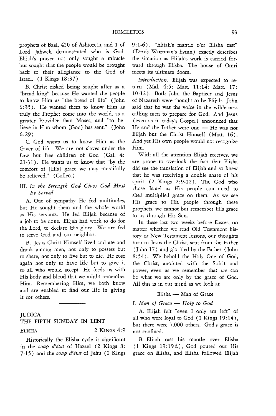prophets of Baal, 450 of Ashtoreth, and 1 of Lord Jahweh demonstrated who is God. Elijah's prayer not only sought a miracle but sought that the people would be brought back to their allegiance to the God of Israel. (1 Kings 18:37)

B. Christ risked being sought after as a "bread king" because He wanted the people to know Him as "the bread of life" (John 6: 35). He wanted them to know Him as truly the Prophet come into the world, as a greater Provider than Moses, and "to believe in Him whom [God] has sent." (John 6:29)

c. God wants w; to know Him as the Giver of life. We are not slaves under the Law but free children of God (Gal. 4: 21-31). He wants us to know that "by the comfort of [His] grace we may mercifully be relieved." (Collect)

# III. *In the Strength God Gives God Must Be Served*

A. Out of sympathy He fed multitudes, but He sought them and the whole world as His servants. He fed Elijah because of a job to be done. Elijah had work to do for the Lord, to declare His glory. We are fed to serve God and our neighbor.

B. Jesus Christ Himself lived and ate and drank among men, not only to possess but to share, not only to live but to die. He rose again not only to have life but to give it to all who would accept. He feeds us with His body and blood that we might remember Him. Remembering Him, we both know and arc enabled to find our life in giving it for others.

# **JUDICA**

# THE FIFTH SUNDAY IN LENT

ELISHA 2 KINGS 4:9

Historically the Elisha cycle is significant in the *coup d'etat* of Hazael (2 Kings 8: 7-15) and the *coup d'etat* of Jehu (2 Kings 9:1-6). "Elijah's mantle o'er Elisha cast" (Denis Wortman's hymn) exactly describes the situation as Elijah's work is carried forward through Elisha. The house of Omri meets its ultimate doom.

*Introduction.* Elijah was expected to return (Mal. 4:5; Matt. 11:14; Matt. 17: 10-12). Both John the Baptizer and Jesus of Nazareth were thought to be Elijah. John said that he was the voice in the wilderness calling men to prepare for God. And Jesus (even as in today's Gospel) announced that He and the Father were one - He was not Elijah but the Christ Himself (Matt. 16). And yet His own people would not recognize Him.

With all the attention Elijah receives, we are prone to overlook the fact that Elisha did see the translation of Elijah and so knew that he was receiving a double share of his spirit (2 Kings 2:9-12). The God who chose Israel as His people continued to shed multiplied grace on them. As we see His grace to His people through these prophets, we cannot but remember His grace to us through His Son.

In these last two weeks before Easter, no matter whether we read Old Testament history or New Testament lessons, our thoughts turn to Jesus the Christ, sent from the Father (John 17) and glorified by the Father (John 8: 54). We behold the Holy One of God, the Christ, anointed with the Spirit and power, even as we remember that *we* can be what we are only by the grace of God. All this is in our mind as we look at

# Elisha - Man of Grace

### I. *Man of Grace* - *Holy to God*

A. Elijah felt "even I only am left" of all who were loyal to God (1 Kings 19:14), but there were 7,000 others. God's grace is not confined.

B. Elijah cast his mantle over Elisha (1 Kings 19: 19 f.), God poured out His grace on Elisha, and Elisha followed Elijah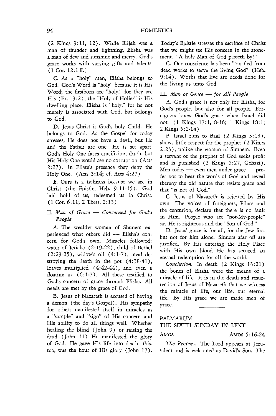(2 Kings 3:11, 12). While Elijah was a man of thunder and lightning, Elisha was a man of dew and sunshine and mercy. God's grace works with varying gifts and talents.  $(1$  Cor.  $12:1 \text{ ff.})$ 

C. As a "holy" man, Elisha belongs to God. God's Word is "holy" because it is His Word; the firstborn are "holy," for they are His  $(Ex. 13:2)$ ; the "Holy of Holies" is His dwelling place. Elisha is "holy," for he not merely is associated with God, but belongs to God.

D. Jesus Christ is God's holy Child. He belongs to God. As the Gospel for today stresses, He does not have a devil, but He and the Father are one. He is set apart. God's Holy One faces crucifixion, death, but His Holy One would gee no corruption (Acts 2:27). In Pilate's presence they deny the Holy One. (Acts 3:14; cf. Acts 4:27)

E. Ours is a holiness because we are in Christ (the Epistle, Heb. 9:11-15). God laid hold of us, redeemed us in Christ. (l Cor. 6: 11; 2 Thess. 2: 13)

# II. Man of Grace – Concerned for God's *People*

A. The wealthy woman of Shunem experienced what others did - Elisha's concern for God's own. Miracles followed: water of Jericho (2: 19-22), child of Bethel (2:23-25), widow's oil (4:1-7), meal destroying the death in the pot  $(4:38-41)$ , loaves multiplied (4:42-44), and even a floating  $ax(6:1-7)$ . All these testified to God's concern of grace through Elisha. All needs are met by the grace of God.

B. Jesus of Nazareth is accused of having a demon (the day's Gospel). His sympathy for others manifested itself in miracles as a "sample" and "sign" of His concern and *His* ability to do all things well. Whether healing the blind (John 9) or raising the dead (John 11) He manifested the glory of God. He gave His life into death; this, too, was the hour of His glory (John 17). Today's Epistle stresses the sacrifice of Christ that we might see His concern in the atonement. "A holy Man of God passeth by!"

C. Our conscience has been "purified from dead works to serve the living God" (Heb. 9: 14). Works that live are deeds done for the living as unto God.

# III. *Man of Grace* - *for All People*

A. God's grace is not only for Elisha, for God's people, but also for all people. Foreigners knew God's grace when Israel did not. (1 Kings 17:1, 8-16; 1 Kings 18:1; 2 Kings 5: 1-14)

B. Israel runs to Baal  $(2 \text{ Kings } 3:13)$ , shows little respect for the prophet (2 Kings 2 :23), unlike the woman of Shunem. Even a servant of the prophet of God seeks profit and is punished (2 Kings 5:27, Gehazi). Men today - even men under grace - prefer not to hear the words of God and reveal thereby the old nature that resists grace and that "is not of God."

C. Jesus of Nazareth is rejected by His own. The voices of foreigners, Pilate and the centurion, declare that there is no fault in Him. People who are "not-My-people" say He is righteous and the "Son of God."

D. Jesus' grace is for all, for the Jew first but not for him alone. Sinners afar off are justified. By His entering the Holy Place with His own blood He has secured an eternal redemption for all the world.

*Conclusion.* In death (2 Kings 13:21) the bones of Elisha were the means of a miracle of life. It is in the death and resurrection of Jesus of Nazareth that we witness the miracle of life, our life, our eternal life. By His grace we are made men of grace.

#### PALMARUM

# THE SIXTH SUNDAY IN LENT

AMOS 5:16-24

*The Propers.* The Lord appears at Jerusalem and is welcomed as David's Son. The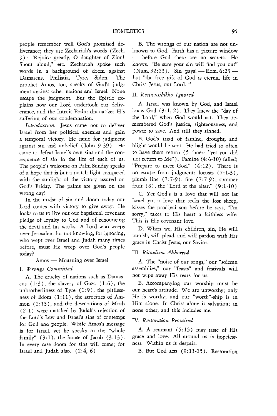people remember well God's promised deliverance; they use Zechariah's words (Zech. 9): "Rejoice greatly, 0 daughter of Zion! Shout aloud," etc. Zechariah spoke such words in a background of doom against Damascus, Philistia, Tyre, Sidon. The prophet Amos, too, speaks of God's judgment against other nations and Israel. None escape the judgment. But the Epistle explains how our Lord undertook our deliverance, and the Introit Psalm dramatizes His suffering of our condemnation.

*Introduction,* Jesus came not to deliver Israel from her political enemies and gain a temporal victory. He came for judgment against sin and unbelief (John 9:39). He came to defeat Israel's own sins and the consequence of sin in the life of each of us. The people's welcome on Palm Sunday speaks of a hope that is but a match light compared with the sunlight of the victory assured on God's Friday. The palms are given on the wrong day!

In the midst of sin and doom today our Lord comes with victory to give away. He looks to us to live out our baptismal covenant pledge of loyalty to God and of renouncing the devil and his works. A Lord who weeps over Jerusalem for not knowing, for ignoring, who wept over Israel and Judah many times before, must He weep over God's people today?

#### $Amos$  — Mourning over Israel

# 1. *Wrongs Committed*

A. The cruelty of nations such as Damascus  $(1:3)$ , the slavery of Gaza  $(1:6)$ , the unbrotherliness of Tyre  $(1:9)$ , the pitilessness of Edom  $(1:11)$ , the atrocities of Ammon (1:13), and the desecrations of Moab (2:1) were matched by Judah's rejection of the Lord's Law and Israel's sins of contempt for God and people. While Amos's message is for Israel, yet he speaks to the "whole family"  $(3:1)$ , the house of Jacob  $(3:13)$ . In every case doom for sins will come; for Israel and Judah also.  $(2: 4, 6)$ 

B. The wrongs of our nation are not unknown to God. Earth has a picture window before God there are no secrets. He knows. "Be sure your sin will find you out"  $(Num. 32:23)$ . Sin pays!  $\longrightarrow$  Rom. 6:23  $\longrightarrow$ but "the free gift of God is eternal life in Christ Jesus, our Lord. "

# II. *Responsibility Ignored*

A. Israel was known by God, and Israel knew God  $(3:1, 2)$ . They knew the "day of the Lord," when God would act. They remembered God's justice, righteousness, and power to save. And still they sinned.

B. God's triad of famine, drought, and blight would be sent. He had tried so often to have them return (5 times: "yet you did not return to Me"). Famine (4:6-10) failed; "Prepare to meet God." (4:12). There is no escape from judgment: locusts (7:1-3), plumb line (7:7-9), fire (7:7-9), summer fruit  $(8)$ , the "Lord at the altar."  $(9:1-10)$ 

C. Yet God's is a love that will not let Israel go, a love that seeks the lost sheep, kisses the prodigal son before he says, ''I'm sorry," takes to His heart a faithless wife. This is His covenant love.

D. When we, His children, sin, He will punish, will plead, and will pardon with His grace in Christ Jesus, our Savior.

# III. *Ritualism Abhorred*

A. The "noise of our songs," our "solemn assemblies," our "feasts" and festivals will not wipe away His tears for us.

B. Accompanying our worship must be our heart's attitude. We are unworthy; only He is worthy; and our "worth"-ship is in Him alone. In Christ alone is salvation; in none other, and this includes me.

# IV. *Restoration Promised*

A. A remnant  $(5:15)$  may taste of His grace and love. All around us is hopelessness. Within us is despair.

B. But God acts (9:11-15). Restoration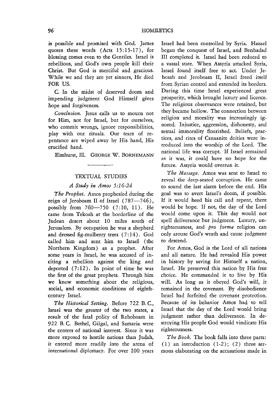is possible and promised with God. James quotes these words (Acts 15:15-17), for blessing comes even to the Gentiles. Israel is rebellious, and God's own people kill their Christ. But God is merciful and gracious. While we and they are yet sinners, He died FOR US.

C. In the midst of deserved doom and impending judgment God Himself gives hope and forgiveness.

*Conclusion.* Jesus calls us to mourn not for Him, not for Israel, but for ourselves, who commit wrongs, ignore responsibilities, play with our rituals. Our tears of repentance are wiped away by His hand, His crucified hand.

Elmhurst, Ill. GEORGE W. BORNEMANN

# TEXTUAL STUDIES

# *A Study in Amos 5:16-24*

*The Prophet.* Amos prophesied during the reign of Jeroboam II of Israel  $(787 - 746)$ , possibly from 760-750 (7:10, 11). He came from Tekoah at the borderline of the Judean desert about 10 miles south of Jerusalem. By occupation he was a shepherd and dressed fig-mulberry trees (7: 14). God called him and sent him to Israel ( the Northern Kingdom) as a prophet. After some years in Israel, he was accused of inciting a rebellion against the king and deported  $(7:12)$ . In point of time he was the first of the great prophets. Through him we know something about the religious, social, and economic conditions of eighthcentury Israel.

The Historical Setting. Before 722 B.C., Israel was the greater of the two states, a result of the fatal policy of Rehoboam in 922 B. C. Bethel, Gilgal, and Samaria were the centers of national interest. Since it was more exposed to hostile nations than Judah, it entered more readily into the arena of international diplomacy. For over 100 years Israel had been controlled by Syria. Hazael began the conquest of Israel, and Benhadad III completed it. Israel had been reduced to a vassal state. When Assyria attacked Syria, Israel found itself free to act. Under Jehoash and Jeroboam II, Israel freed itself from Syrian control and extended its borders. During this time Israel experienced great prosperity, which brought luxury and licence. The religious observances were retained, but they became hollow. The connection between religion and morality was increasingly ignored. Injustice, aggression, dishonesty, and sexual immorality flourished. Beliefs, practices, and rites of Canaanite deities were introduced into the worship of the Lord. The national life was corrupt. If Israel remained as it was, it could have no hope for the future. Assyria would overrun it.

*The Message.* Amos was sent to Israel to reveal the deep-seated corruption. He came to sound the last alarm before the end. His goal was to avert Israel's doom, if possible. If it would heed his call and repent, there would be hope. If not, the day of the Lord would come upon it. This day would not spell deliverance but judgment. Luxury, unrighteousness, and *pro forma* religion can only arouse God's wrath and cause judgment to descend.

For Amos, God is the Lord of all nations and all nature. He had revealed His power in history by saving for Himself a nation, Israel. He preserved this nation by His free choice. He commanded it to live by His will. As long as it obeyed God's will, *it*  remained in the covenant. By disobedience Israel had forfeited the covenant protection. Because of its behavior Amos had to tell Israel that the day of the Lord would bring judgment rather than deliverance. In destroying His people God would vindicate His righteousness.

*The Book.* The book falls into three parts:  $(1)$  an introduction  $(1-2)$ ;  $(2)$  three sermons elaborating on the accusations made in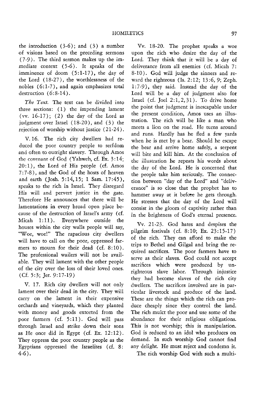the introduction  $(3-6)$ ; and  $(3)$  a number of visions based on the preceding sermons (7 -9). The third sermon makes up the immediate context (5-6). It speaks of the imminence of doom (5:1-17), the day of the Lord (18-27), the worthlessness of the nobles (6:1-7), and again emphasizes total destruction (6:8-14).

*The Text.* The text can be divided into three sections: (1) the impending lament (vv.  $16-17$ ); (2) the day of the Lord as judgment over Israel (18-20), and (3) the rejection of worship without justice (21-24).

V.16. The rich city dwellers had reduced the poor country people to serfdom and often to outright slavery. Through Amos the covenant of God (Yahweh, cf. Ex. 3:14;  $20:1$ ), the Lord of His people (cf. Amos 7: 7 -8), and the God of the hosts of heaven and earth (Josh. 5:14,15; 1 Sam. 17:45), speaks to the rich in Israel. They disregard His will and pervert justice in the gate. Therefore He announces that there will be lamentations in every broad open place because of the destruction of Israel's army (cf. Micah 1:11). Everywhere outside the houses within the city walls people will say, "Woe, woe!" The rapacious city dwellers will have to call on the poor, oppressed farmers to mourn for their dead (cf. 8:10). The professional wailers will not be available. They will lament with the other people of the city over the loss of their loved ones. (Cf. 5:3; Jer. 9:17-19)

V. 17. Rich city dwellers will not only lament over their dead in the city. They will carry on the lament in their expensive orchards and vineyards, which they planted with money and goods extorted from the poor farmers (cf. 5:11). God will pass through Israel and strike down their sons as He once did in Egypt (cf. Ex.  $12:12$ ). They oppress the poor country people as the Egyptians oppressed the Israelites (cf. 8: 4-6).

Vv. 18-20. The prophet speaks a woe upon the rich who desire the day of the Lord. They think that it will be a day of deliverance from all enemies (cf. Micah 7: 8-10). God will judge the sinners and reward the righteous (Is. 2:12; 13:6,9; Zeph. 1 : 7 -9), they said. Instead the day of the Lord will be a day of judgment also for Israel (cf. Joel  $2:1,2,31$ ). To drive home the point that judgment *is* inescapable under the present condition, Amos uses an illustration. The rich will be like a man who meets a lion on the road. He turns around and runs. Hardly has he fled a few yards when he is met by a bear. Should he escape the bear and arrive home safely, a serpent will bite and kill him. At the conclusion of the illustration he repeats his words about the day of the Lord. He is concerned that the people take him seriously. The connection between "day of the Lord" and "deliverance" is so close that the prophet has to hammer away at it before he gets through. He stresses that the day of the Lord will consist in the gloom of captivity rather than in the brightness of God's eternal presence.

Vv. 21-23. God hates and despises the pilgrim festivals (cf. 8:10; Ex. 23:15-17) of the rich. They can afford to make the trips to Bethel and Gilgal and bring the required sacrifices. The poor farmers have to serve as their slaves. God could not accept sacrifices which were produced by unrighteous slave labor. Through injustice they had become slaves of the rich city dwellers. The sacrifices involved are in particular livestock and produce of the land. These are the things which the rich can produce cheaply since they control the land. The rich mulct the poor and use some of the abundance for their religious obligations. This is not worship; this is manipulation. God *is* reduced to an idol who produces on demand. In such worship God cannot find any delight. He must reject and condemn it.

The rich worship God with such a multi-